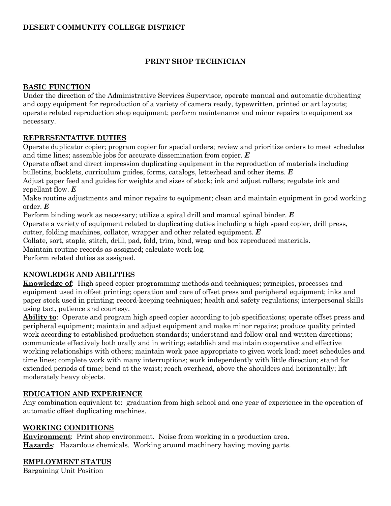### **DESERT COMMUNITY COLLEGE DISTRICT**

# **PRINT SHOP TECHNICIAN**

## **BASIC FUNCTION**

Under the direction of the Administrative Services Supervisor, operate manual and automatic duplicating and copy equipment for reproduction of a variety of camera ready, typewritten, printed or art layouts; operate related reproduction shop equipment; perform maintenance and minor repairs to equipment as necessary.

## **REPRESENTATIVE DUTIES**

Operate duplicator copier; program copier for special orders; review and prioritize orders to meet schedules and time lines; assemble jobs for accurate dissemination from copier. *E*

Operate offset and direct impression duplicating equipment in the reproduction of materials including bulletins, booklets, curriculum guides, forms, catalogs, letterhead and other items. *E*

Adjust paper feed and guides for weights and sizes of stock; ink and adjust rollers; regulate ink and repellant flow. *E*

Make routine adjustments and minor repairs to equipment; clean and maintain equipment in good working order. *E*

Perform binding work as necessary; utilize a spiral drill and manual spinal binder. *E*

Operate a variety of equipment related to duplicating duties including a high speed copier, drill press,

cutter, folding machines, collator, wrapper and other related equipment. *E*

Collate, sort, staple, stitch, drill, pad, fold, trim, bind, wrap and box reproduced materials. Maintain routine records as assigned; calculate work log.

Perform related duties as assigned.

### **KNOWLEDGE AND ABILITIES**

**Knowledge of**: High speed copier programming methods and techniques; principles, processes and equipment used in offset printing; operation and care of offset press and peripheral equipment; inks and paper stock used in printing; record-keeping techniques; health and safety regulations; interpersonal skills using tact, patience and courtesy.

**Ability to**: Operate and program high speed copier according to job specifications; operate offset press and peripheral equipment; maintain and adjust equipment and make minor repairs; produce quality printed work according to established production standards; understand and follow oral and written directions; communicate effectively both orally and in writing; establish and maintain cooperative and effective working relationships with others; maintain work pace appropriate to given work load; meet schedules and time lines; complete work with many interruptions; work independently with little direction; stand for extended periods of time; bend at the waist; reach overhead, above the shoulders and horizontally; lift moderately heavy objects.

### **EDUCATION AND EXPERIENCE**

Any combination equivalent to: graduation from high school and one year of experience in the operation of automatic offset duplicating machines.

### **WORKING CONDITIONS**

**Environment**: Print shop environment. Noise from working in a production area. **Hazards**: Hazardous chemicals. Working around machinery having moving parts.

### **EMPLOYMENT STATUS**

Bargaining Unit Position